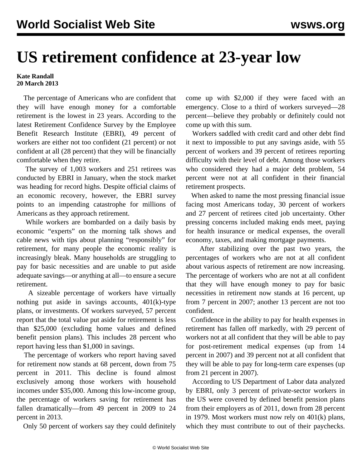## **US retirement confidence at 23-year low**

**Kate Randall 20 March 2013**

 The percentage of Americans who are confident that they will have enough money for a comfortable retirement is the lowest in 23 years. According to the latest Retirement Confidence Survey by the Employee Benefit Research Institute (EBRI), 49 percent of workers are either not too confident (21 percent) or not confident at all (28 percent) that they will be financially comfortable when they retire.

 The survey of 1,003 workers and 251 retirees was conducted by EBRI in January, when the stock market was heading for record highs. Despite official claims of an economic recovery, however, the EBRI survey points to an impending catastrophe for millions of Americans as they approach retirement.

 While workers are bombarded on a daily basis by economic "experts" on the morning talk shows and cable news with tips about planning "responsibly" for retirement, for many people the economic reality is increasingly bleak. Many households are struggling to pay for basic necessities and are unable to put aside adequate savings—or anything at all—to ensure a secure retirement.

 A sizeable percentage of workers have virtually nothing put aside in savings accounts, 401(k)-type plans, or investments. Of workers surveyed, 57 percent report that the total value put aside for retirement is less than \$25,000 (excluding home values and defined benefit pension plans). This includes 28 percent who report having less than \$1,000 in savings.

 The percentage of workers who report having saved for retirement now stands at 68 percent, down from 75 percent in 2011. This decline is found almost exclusively among those workers with household incomes under \$35,000. Among this low-income group, the percentage of workers saving for retirement has fallen dramatically—from 49 percent in 2009 to 24 percent in 2013.

Only 50 percent of workers say they could definitely

come up with \$2,000 if they were faced with an emergency. Close to a third of workers surveyed—28 percent—believe they probably or definitely could not come up with this sum.

 Workers saddled with credit card and other debt find it next to impossible to put any savings aside, with 55 percent of workers and 39 percent of retirees reporting difficulty with their level of debt. Among those workers who considered they had a major debt problem, 54 percent were not at all confident in their financial retirement prospects.

 When asked to name the most pressing financial issue facing most Americans today, 30 percent of workers and 27 percent of retirees cited job uncertainty. Other pressing concerns included making ends meet, paying for health insurance or medical expenses, the overall economy, taxes, and making mortgage payments.

 After stabilizing over the past two years, the percentages of workers who are not at all confident about various aspects of retirement are now increasing. The percentage of workers who are not at all confident that they will have enough money to pay for basic necessities in retirement now stands at 16 percent, up from 7 percent in 2007; another 13 percent are not too confident.

 Confidence in the ability to pay for health expenses in retirement has fallen off markedly, with 29 percent of workers not at all confident that they will be able to pay for post-retirement medical expenses (up from 14 percent in 2007) and 39 percent not at all confident that they will be able to pay for long-term care expenses (up from 21 percent in 2007).

 According to US Department of Labor data analyzed by EBRI, only 3 percent of private-sector workers in the US were covered by defined benefit pension plans from their employers as of 2011, down from 28 percent in 1979. Most workers must now rely on 401(k) plans, which they must contribute to out of their paychecks.